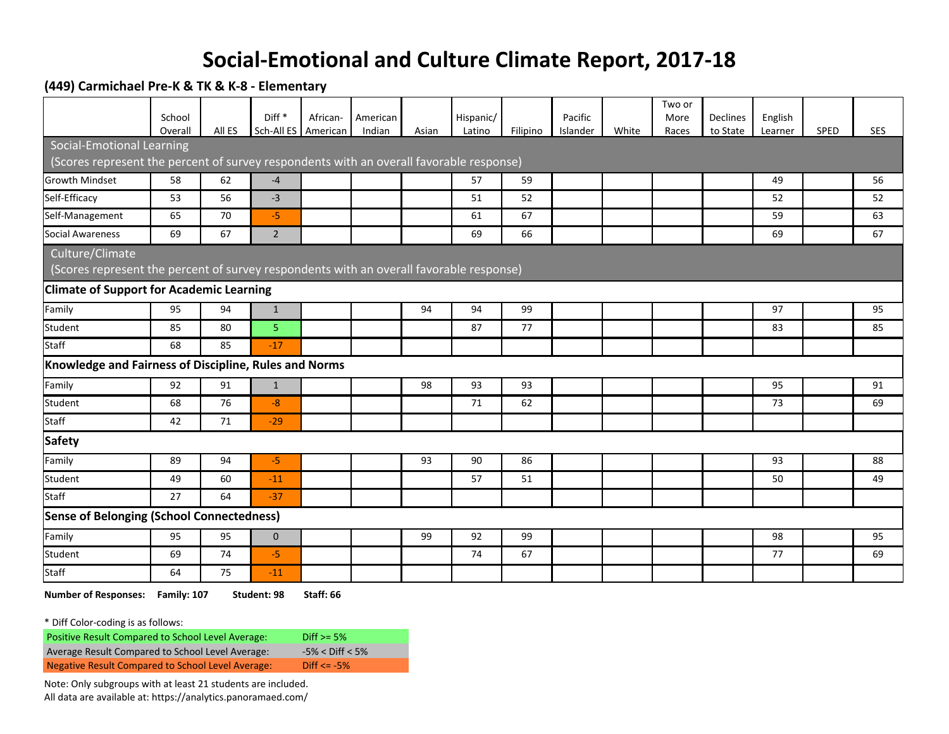## **Social-Emotional and Culture Climate Report, 2017-18**

**(449) Carmichael Pre-K & TK & K-8 - Elementary**

|                                                                                         |                   |        |                   |                                 |                    |       |                     |          |                     |       | Two or        |                             |                    |             |     |
|-----------------------------------------------------------------------------------------|-------------------|--------|-------------------|---------------------------------|--------------------|-------|---------------------|----------|---------------------|-------|---------------|-----------------------------|--------------------|-------------|-----|
|                                                                                         | School<br>Overall | All ES | Diff <sup>*</sup> | African-<br>Sch-All ES American | American<br>Indian | Asian | Hispanic/<br>Latino | Filipino | Pacific<br>Islander | White | More<br>Races | <b>Declines</b><br>to State | English<br>Learner | <b>SPED</b> | SES |
| Social-Emotional Learning                                                               |                   |        |                   |                                 |                    |       |                     |          |                     |       |               |                             |                    |             |     |
| (Scores represent the percent of survey respondents with an overall favorable response) |                   |        |                   |                                 |                    |       |                     |          |                     |       |               |                             |                    |             |     |
| <b>Growth Mindset</b>                                                                   | 58                | 62     | $-4$              |                                 |                    |       | 57                  | 59       |                     |       |               |                             | 49                 |             | 56  |
| Self-Efficacy                                                                           | 53                | 56     | $-3$              |                                 |                    |       | 51                  | 52       |                     |       |               |                             | 52                 |             | 52  |
| Self-Management                                                                         | 65                | 70     | $-5$              |                                 |                    |       | 61                  | 67       |                     |       |               |                             | 59                 |             | 63  |
| Social Awareness                                                                        | 69                | 67     | $\overline{2}$    |                                 |                    |       | 69                  | 66       |                     |       |               |                             | 69                 |             | 67  |
| Culture/Climate                                                                         |                   |        |                   |                                 |                    |       |                     |          |                     |       |               |                             |                    |             |     |
| (Scores represent the percent of survey respondents with an overall favorable response) |                   |        |                   |                                 |                    |       |                     |          |                     |       |               |                             |                    |             |     |
| <b>Climate of Support for Academic Learning</b>                                         |                   |        |                   |                                 |                    |       |                     |          |                     |       |               |                             |                    |             |     |
| Family                                                                                  | 95                | 94     | $\mathbf{1}$      |                                 |                    | 94    | 94                  | 99       |                     |       |               |                             | 97                 |             | 95  |
| Student                                                                                 | 85                | 80     | 5                 |                                 |                    |       | 87                  | 77       |                     |       |               |                             | 83                 |             | 85  |
| <b>Staff</b>                                                                            | 68                | 85     | $-17$             |                                 |                    |       |                     |          |                     |       |               |                             |                    |             |     |
| Knowledge and Fairness of Discipline, Rules and Norms                                   |                   |        |                   |                                 |                    |       |                     |          |                     |       |               |                             |                    |             |     |
| Family                                                                                  | 92                | 91     | $\mathbf{1}$      |                                 |                    | 98    | 93                  | 93       |                     |       |               |                             | 95                 |             | 91  |
| Student                                                                                 | 68                | 76     | $-8$              |                                 |                    |       | 71                  | 62       |                     |       |               |                             | 73                 |             | 69  |
| <b>Staff</b>                                                                            | 42                | 71     | $-29$             |                                 |                    |       |                     |          |                     |       |               |                             |                    |             |     |
| <b>Safety</b>                                                                           |                   |        |                   |                                 |                    |       |                     |          |                     |       |               |                             |                    |             |     |
| Family                                                                                  | 89                | 94     | $-5$              |                                 |                    | 93    | 90                  | 86       |                     |       |               |                             | 93                 |             | 88  |
| Student                                                                                 | 49                | 60     | $-11$             |                                 |                    |       | 57                  | 51       |                     |       |               |                             | 50                 |             | 49  |
| Staff                                                                                   | 27                | 64     | $-37$             |                                 |                    |       |                     |          |                     |       |               |                             |                    |             |     |
| <b>Sense of Belonging (School Connectedness)</b>                                        |                   |        |                   |                                 |                    |       |                     |          |                     |       |               |                             |                    |             |     |
| Family                                                                                  | 95                | 95     | $\mathbf 0$       |                                 |                    | 99    | 92                  | 99       |                     |       |               |                             | 98                 |             | 95  |
| Student                                                                                 | 69                | 74     | $-5$              |                                 |                    |       | 74                  | 67       |                     |       |               |                             | 77                 |             | 69  |
| <b>Staff</b>                                                                            | 64                | 75     | $-11$             |                                 |                    |       |                     |          |                     |       |               |                             |                    |             |     |

**Number of Responses: Family: 107 Student: 98 Staff: 66**

\* Diff Color-coding is as follows:

| Positive Result Compared to School Level Average: | Diff $> = 5\%$        |
|---------------------------------------------------|-----------------------|
| Average Result Compared to School Level Average:  | $-5\% <$ Diff $< 5\%$ |
| Negative Result Compared to School Level Average: | $Diff < = -5\%$       |

Note: Only subgroups with at least 21 students are included. All data are available at: https://analytics.panoramaed.com/